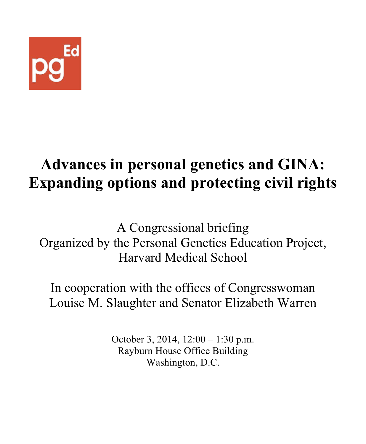

# **Advances in personal genetics and GINA: Expanding options and protecting civil rights**

A Congressional briefing Organized by the Personal Genetics Education Project, Harvard Medical School

In cooperation with the offices of Congresswoman Louise M. Slaughter and Senator Elizabeth Warren

> October 3, 2014, 12:00 – 1:30 p.m. Rayburn House Office Building Washington, D.C.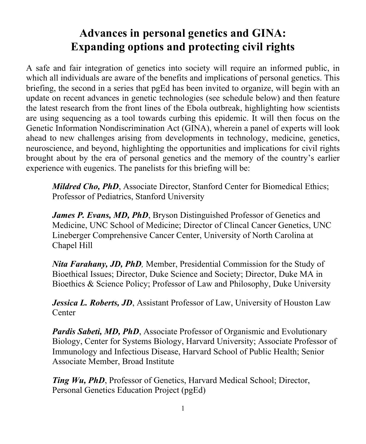## **Advances in personal genetics and GINA: Expanding options and protecting civil rights**

A safe and fair integration of genetics into society will require an informed public, in which all individuals are aware of the benefits and implications of personal genetics. This briefing, the second in a series that pgEd has been invited to organize, will begin with an update on recent advances in genetic technologies (see schedule below) and then feature the latest research from the front lines of the Ebola outbreak, highlighting how scientists are using sequencing as a tool towards curbing this epidemic. It will then focus on the Genetic Information Nondiscrimination Act (GINA), wherein a panel of experts will look ahead to new challenges arising from developments in technology, medicine, genetics, neuroscience, and beyond, highlighting the opportunities and implications for civil rights brought about by the era of personal genetics and the memory of the country's earlier experience with eugenics. The panelists for this briefing will be:

*Mildred Cho, PhD*, Associate Director, Stanford Center for Biomedical Ethics; Professor of Pediatrics, Stanford University

*James P. Evans, MD, PhD*, Bryson Distinguished Professor of Genetics and Medicine, UNC School of Medicine; Director of Clincal Cancer Genetics, UNC Lineberger Comprehensive Cancer Center, University of North Carolina at Chapel Hill

*Nita Farahany, JD, PhD,* Member, Presidential Commission for the Study of Bioethical Issues; Director, Duke Science and Society; Director, Duke MA in Bioethics & Science Policy; Professor of Law and Philosophy, Duke University

*Jessica L. Roberts, JD*, Assistant Professor of Law, University of Houston Law Center

*Pardis Sabeti, MD, PhD, Associate Professor of Organismic and Evolutionary* Biology, Center for Systems Biology, Harvard University; Associate Professor of Immunology and Infectious Disease, Harvard School of Public Health; Senior Associate Member, Broad Institute

*Ting Wu, PhD*, Professor of Genetics, Harvard Medical School; Director, Personal Genetics Education Project (pgEd)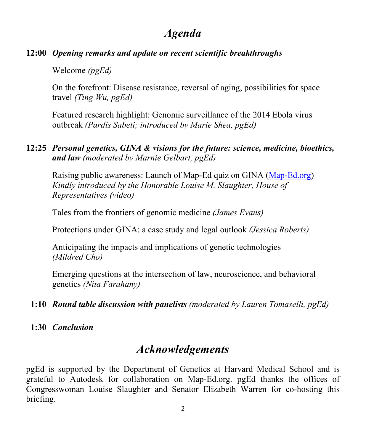## *Agenda*

#### **12:00** *Opening remarks and update on recent scientific breakthroughs*

Welcome *(pgEd)*

On the forefront: Disease resistance, reversal of aging, possibilities for space travel *(Ting Wu, pgEd)*

Featured research highlight: Genomic surveillance of the 2014 Ebola virus outbreak *(Pardis Sabeti; introduced by Marie Shea, pgEd)* 

#### **12:25** *Personal genetics, GINA & visions for the future: science, medicine, bioethics, and law (moderated by Marnie Gelbart, pgEd)*

Raising public awareness: Launch of Map-Ed quiz on GINA (Map-Ed.org) *Kindly introduced by the Honorable Louise M. Slaughter, House of Representatives (video)*

Tales from the frontiers of genomic medicine *(James Evans)*

Protections under GINA: a case study and legal outlook *(Jessica Roberts)*

Anticipating the impacts and implications of genetic technologies *(Mildred Cho)*

Emerging questions at the intersection of law, neuroscience, and behavioral genetics *(Nita Farahany)*

- **1:10** *Round table discussion with panelists (moderated by Lauren Tomaselli, pgEd)*
- **1:30** *Conclusion*

## *Acknowledgements*

pgEd is supported by the Department of Genetics at Harvard Medical School and is grateful to Autodesk for collaboration on Map-Ed.org. pgEd thanks the offices of Congresswoman Louise Slaughter and Senator Elizabeth Warren for co-hosting this briefing.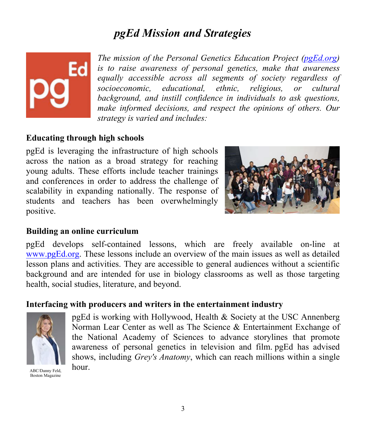## *pgEd Mission and Strategies*



*The mission of the Personal Genetics Education Project (pgEd.org) is to raise awareness of personal genetics, make that awareness equally accessible across all segments of society regardless of socioeconomic, educational, ethnic, religious, or cultural background, and instill confidence in individuals to ask questions, make informed decisions, and respect the opinions of others. Our strategy is varied and includes:*

#### **Educating through high schools**

pgEd is leveraging the infrastructure of high schools across the nation as a broad strategy for reaching young adults. These efforts include teacher trainings and conferences in order to address the challenge of scalability in expanding nationally. The response of students and teachers has been overwhelmingly positive.



#### **Building an online curriculum**

pgEd develops self-contained lessons, which are freely available on-line at www.pgEd.org. These lessons include an overview of the main issues as well as detailed lesson plans and activities. They are accessible to general audiences without a scientific background and are intended for use in biology classrooms as well as those targeting health, social studies, literature, and beyond.

#### **Interfacing with producers and writers in the entertainment industry**



pgEd is working with Hollywood, Health & Society at the USC Annenberg Norman Lear Center as well as The Science & Entertainment Exchange of the National Academy of Sciences to advance storylines that promote awareness of personal genetics in television and film. pgEd has advised shows, including *Grey's Anatomy*, which can reach millions within a single

 $ABC/Danny$  Feld, hour. Boston Magazine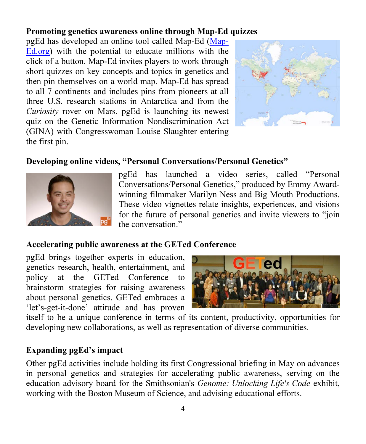#### **Promoting genetics awareness online through Map-Ed quizzes**

pgEd has developed an online tool called Map-Ed (Map-Ed.org) with the potential to educate millions with the click of a button. Map-Ed invites players to work through short quizzes on key concepts and topics in genetics and then pin themselves on a world map. Map-Ed has spread to all 7 continents and includes pins from pioneers at all three U.S. research stations in Antarctica and from the *Curiosity* rover on Mars. pgEd is launching its newest quiz on the Genetic Information Nondiscrimination Act (GINA) with Congresswoman Louise Slaughter entering the first pin.



#### **Developing online videos, "Personal Conversations/Personal Genetics"**



pgEd has launched a video series, called "Personal Conversations/Personal Genetics," produced by Emmy Awardwinning filmmaker Marilyn Ness and Big Mouth Productions. These video vignettes relate insights, experiences, and visions for the future of personal genetics and invite viewers to "join the conversation."

#### **Accelerating public awareness at the GETed Conference**

pgEd brings together experts in education, genetics research, health, entertainment, and policy at the GETed Conference to brainstorm strategies for raising awareness about personal genetics. GETed embraces a 'let's-get-it-done' attitude and has proven



itself to be a unique conference in terms of its content, productivity, opportunities for developing new collaborations, as well as representation of diverse communities.

#### **Expanding pgEd's impact**

Other pgEd activities include holding its first Congressional briefing in May on advances in personal genetics and strategies for accelerating public awareness, serving on the education advisory board for the Smithsonian's *Genome: Unlocking Life's Code* exhibit, working with the Boston Museum of Science, and advising educational efforts.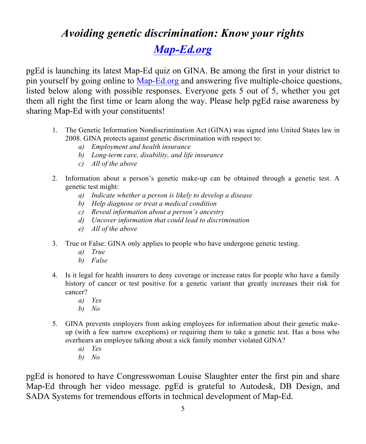## *Avoiding genetic discrimination: Know your rights Map-Ed.org*

pgEd is launching its latest Map-Ed quiz on GINA. Be among the first in your district to pin yourself by going online to Map-Ed.org and answering five multiple-choice questions, listed below along with possible responses. Everyone gets 5 out of 5, whether you get them all right the first time or learn along the way. Please help pgEd raise awareness by sharing Map-Ed with your constituents!

- 1. The Genetic Information Nondiscrimination Act (GINA) was signed into United States law in 2008. GINA protects against genetic discrimination with respect to:
	- *a) Employment and health insurance*
	- *b) Long-term care, disability, and life insurance*
	- *c) All of the above*
- 2. Information about a person's genetic make-up can be obtained through a genetic test. A genetic test might:
	- *a) Indicate whether a person is likely to develop a disease*
	- *b) Help diagnose or treat a medical condition*
	- *c) Reveal information about a person's ancestry*
	- *d) Uncover information that could lead to discrimination*
	- *e) All of the above*
- 3. True or False: GINA only applies to people who have undergone genetic testing.
	- *a) True*
	- *b) False*
- 4. Is it legal for health insurers to deny coverage or increase rates for people who have a family history of cancer or test positive for a genetic variant that greatly increases their risk for cancer?
	- *a) Yes*
	- *b) No*
- 5. GINA prevents employers from asking employees for information about their genetic makeup (with a few narrow exceptions) or requiring them to take a genetic test. Has a boss who overhears an employee talking about a sick family member violated GINA?
	- *a) Yes*
	- *b) No*

pgEd is honored to have Congresswoman Louise Slaughter enter the first pin and share Map-Ed through her video message. pgEd is grateful to Autodesk, DB Design, and SADA Systems for tremendous efforts in technical development of Map-Ed.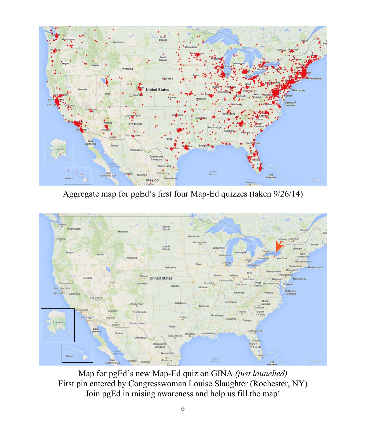

Aggregate map for pgEd's first four Map-Ed quizzes (taken 9/26/14)



Map for pgEd's new Map-Ed quiz on GINA *(just launched)* First pin entered by Congresswoman Louise Slaughter (Rochester, NY) Join pgEd in raising awareness and help us fill the map!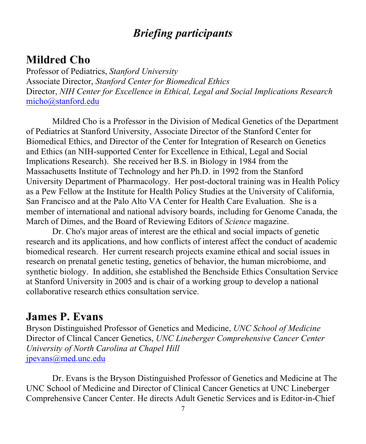## *Briefing participants*

## **Mildred Cho**

Professor of Pediatrics, *Stanford University* Associate Director, *Stanford Center for Biomedical Ethics* Director, *NIH Center for Excellence in Ethical, Legal and Social Implications Research* micho@stanford.edu

Mildred Cho is a Professor in the Division of Medical Genetics of the Department of Pediatrics at Stanford University, Associate Director of the Stanford Center for Biomedical Ethics, and Director of the Center for Integration of Research on Genetics and Ethics (an NIH-supported Center for Excellence in Ethical, Legal and Social Implications Research). She received her B.S. in Biology in 1984 from the Massachusetts Institute of Technology and her Ph.D. in 1992 from the Stanford University Department of Pharmacology. Her post-doctoral training was in Health Policy as a Pew Fellow at the Institute for Health Policy Studies at the University of California, San Francisco and at the Palo Alto VA Center for Health Care Evaluation. She is a member of international and national advisory boards, including for Genome Canada, the March of Dimes, and the Board of Reviewing Editors of *Science* magazine.

Dr. Cho's major areas of interest are the ethical and social impacts of genetic research and its applications, and how conflicts of interest affect the conduct of academic biomedical research. Her current research projects examine ethical and social issues in research on prenatal genetic testing, genetics of behavior, the human microbiome, and synthetic biology. In addition, she established the Benchside Ethics Consultation Service at Stanford University in 2005 and is chair of a working group to develop a national collaborative research ethics consultation service.

## **James P. Evans**

Bryson Distinguished Professor of Genetics and Medicine, *UNC School of Medicine* Director of Clincal Cancer Genetics, *UNC Lineberger Comprehensive Cancer Center University of North Carolina at Chapel Hill* jpevans@med.unc.edu

Dr. Evans is the Bryson Distinguished Professor of Genetics and Medicine at The UNC School of Medicine and Director of Clinical Cancer Genetics at UNC Lineberger Comprehensive Cancer Center. He directs Adult Genetic Services and is Editor-in-Chief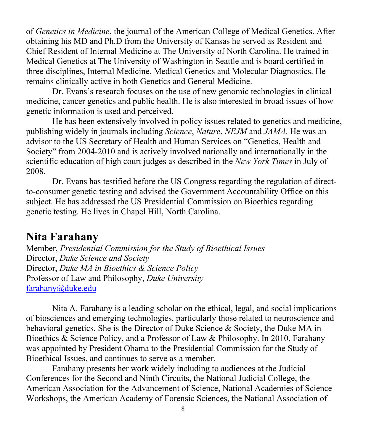of *Genetics in Medicine*, the journal of the American College of Medical Genetics. After obtaining his MD and Ph.D from the University of Kansas he served as Resident and Chief Resident of Internal Medicine at The University of North Carolina. He trained in Medical Genetics at The University of Washington in Seattle and is board certified in three disciplines, Internal Medicine, Medical Genetics and Molecular Diagnostics. He remains clinically active in both Genetics and General Medicine.

Dr. Evans's research focuses on the use of new genomic technologies in clinical medicine, cancer genetics and public health. He is also interested in broad issues of how genetic information is used and perceived.

He has been extensively involved in policy issues related to genetics and medicine, publishing widely in journals including *Science*, *Nature*, *NEJM* and *JAMA*. He was an advisor to the US Secretary of Health and Human Services on "Genetics, Health and Society" from 2004-2010 and is actively involved nationally and internationally in the scientific education of high court judges as described in the *New York Times* in July of 2008.

Dr. Evans has testified before the US Congress regarding the regulation of directto-consumer genetic testing and advised the Government Accountability Office on this subject. He has addressed the US Presidential Commission on Bioethics regarding genetic testing. He lives in Chapel Hill, North Carolina.

#### **Nita Farahany**

Member, *Presidential Commission for the Study of Bioethical Issues* Director, *Duke Science and Society* Director, *Duke MA in Bioethics & Science Policy* Professor of Law and Philosophy, *Duke University* farahany@duke.edu

Nita A. Farahany is a leading scholar on the ethical, legal, and social implications of biosciences and emerging technologies, particularly those related to neuroscience and behavioral genetics. She is the Director of Duke Science & Society, the Duke MA in Bioethics & Science Policy, and a Professor of Law & Philosophy. In 2010, Farahany was appointed by President Obama to the Presidential Commission for the Study of Bioethical Issues, and continues to serve as a member.

Farahany presents her work widely including to audiences at the Judicial Conferences for the Second and Ninth Circuits, the National Judicial College, the American Association for the Advancement of Science, National Academies of Science Workshops, the American Academy of Forensic Sciences, the National Association of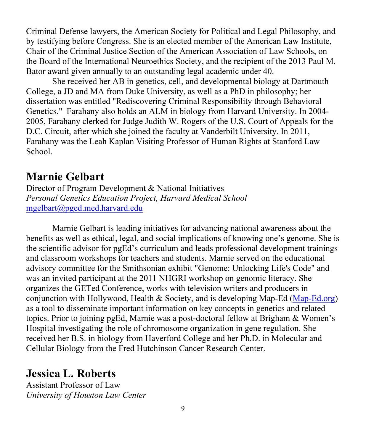Criminal Defense lawyers, the American Society for Political and Legal Philosophy, and by testifying before Congress. She is an elected member of the American Law Institute, Chair of the Criminal Justice Section of the American Association of Law Schools, on the Board of the International Neuroethics Society, and the recipient of the 2013 Paul M. Bator award given annually to an outstanding legal academic under 40.

She received her AB in genetics, cell, and developmental biology at Dartmouth College, a JD and MA from Duke University, as well as a PhD in philosophy; her dissertation was entitled "Rediscovering Criminal Responsibility through Behavioral Genetics." Farahany also holds an ALM in biology from Harvard University. In 2004- 2005, Farahany clerked for Judge Judith W. Rogers of the U.S. Court of Appeals for the D.C. Circuit, after which she joined the faculty at Vanderbilt University. In 2011, Farahany was the Leah Kaplan Visiting Professor of Human Rights at Stanford Law School.

## **Marnie Gelbart**

Director of Program Development & National Initiatives *Personal Genetics Education Project, Harvard Medical School* mgelbart@pged.med.harvard.edu

Marnie Gelbart is leading initiatives for advancing national awareness about the benefits as well as ethical, legal, and social implications of knowing one's genome. She is the scientific advisor for pgEd's curriculum and leads professional development trainings and classroom workshops for teachers and students. Marnie served on the educational advisory committee for the Smithsonian exhibit "Genome: Unlocking Life's Code" and was an invited participant at the 2011 NHGRI workshop on genomic literacy. She organizes the GETed Conference, works with television writers and producers in conjunction with Hollywood, Health & Society, and is developing Map-Ed (Map-Ed.org) as a tool to disseminate important information on key concepts in genetics and related topics. Prior to joining pgEd, Marnie was a post-doctoral fellow at Brigham & Women's Hospital investigating the role of chromosome organization in gene regulation. She received her B.S. in biology from Haverford College and her Ph.D. in Molecular and Cellular Biology from the Fred Hutchinson Cancer Research Center.

## **Jessica L. Roberts**

Assistant Professor of Law *University of Houston Law Center*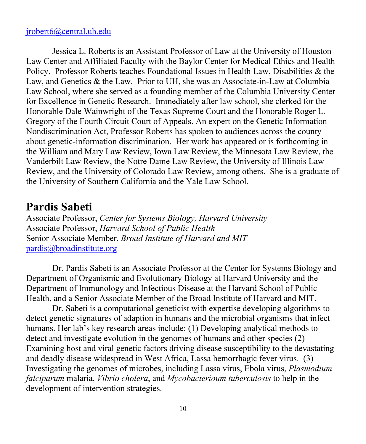#### jrobert6@central.uh.edu

Jessica L. Roberts is an Assistant Professor of Law at the University of Houston Law Center and Affiliated Faculty with the Baylor Center for Medical Ethics and Health Policy. Professor Roberts teaches Foundational Issues in Health Law, Disabilities & the Law, and Genetics & the Law. Prior to UH, she was an Associate-in-Law at Columbia Law School, where she served as a founding member of the Columbia University Center for Excellence in Genetic Research. Immediately after law school, she clerked for the Honorable Dale Wainwright of the Texas Supreme Court and the Honorable Roger L. Gregory of the Fourth Circuit Court of Appeals. An expert on the Genetic Information Nondiscrimination Act, Professor Roberts has spoken to audiences across the county about genetic-information discrimination. Her work has appeared or is forthcoming in the William and Mary Law Review, Iowa Law Review, the Minnesota Law Review, the Vanderbilt Law Review, the Notre Dame Law Review, the University of Illinois Law Review, and the University of Colorado Law Review, among others. She is a graduate of the University of Southern California and the Yale Law School.

### **Pardis Sabeti**

Associate Professor, *Center for Systems Biology, Harvard University* Associate Professor, *Harvard School of Public Health* Senior Associate Member, *Broad Institute of Harvard and MIT* pardis@broadinstitute.org

Dr. Pardis Sabeti is an Associate Professor at the Center for Systems Biology and Department of Organismic and Evolutionary Biology at Harvard University and the Department of Immunology and Infectious Disease at the Harvard School of Public Health, and a Senior Associate Member of the Broad Institute of Harvard and MIT.

Dr. Sabeti is a computational geneticist with expertise developing algorithms to detect genetic signatures of adaption in humans and the microbial organisms that infect humans. Her lab's key research areas include: (1) Developing analytical methods to detect and investigate evolution in the genomes of humans and other species (2) Examining host and viral genetic factors driving disease susceptibility to the devastating and deadly disease widespread in West Africa, Lassa hemorrhagic fever virus. (3) Investigating the genomes of microbes, including Lassa virus, Ebola virus, *Plasmodium falciparum* malaria, *Vibrio cholera*, and *Mycobacterioum tuberculosis* to help in the development of intervention strategies.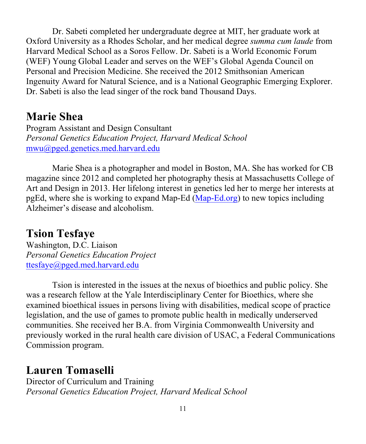Dr. Sabeti completed her undergraduate degree at MIT, her graduate work at Oxford University as a Rhodes Scholar, and her medical degree *summa cum laude* from Harvard Medical School as a Soros Fellow. Dr. Sabeti is a World Economic Forum (WEF) Young Global Leader and serves on the WEF's Global Agenda Council on Personal and Precision Medicine. She received the 2012 Smithsonian American Ingenuity Award for Natural Science, and is a National Geographic Emerging Explorer. Dr. Sabeti is also the lead singer of the rock band Thousand Days.

## **Marie Shea**

Program Assistant and Design Consultant *Personal Genetics Education Project, Harvard Medical School* mwu@pged.genetics.med.harvard.edu

Marie Shea is a photographer and model in Boston, MA. She has worked for CB magazine since 2012 and completed her photography thesis at Massachusetts College of Art and Design in 2013. Her lifelong interest in genetics led her to merge her interests at pgEd, where she is working to expand Map-Ed  $(Map-Ed.org)$  to new topics including Alzheimer's disease and alcoholism.

## **Tsion Tesfaye**

Washington, D.C. Liaison *Personal Genetics Education Project* ttesfaye@pged.med.harvard.edu

Tsion is interested in the issues at the nexus of bioethics and public policy. She was a research fellow at the Yale Interdisciplinary Center for Bioethics, where she examined bioethical issues in persons living with disabilities, medical scope of practice legislation, and the use of games to promote public health in medically underserved communities. She received her B.A. from Virginia Commonwealth University and previously worked in the rural health care division of USAC, a Federal Communications Commission program.

## **Lauren Tomaselli**

Director of Curriculum and Training *Personal Genetics Education Project, Harvard Medical School*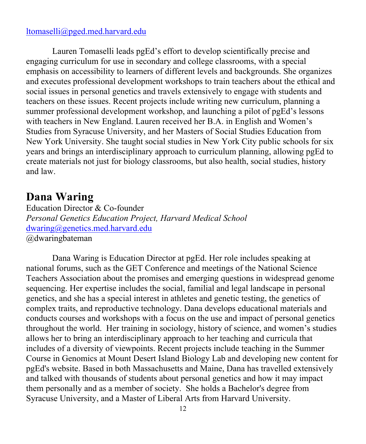#### ltomaselli@pged.med.harvard.edu

Lauren Tomaselli leads pgEd's effort to develop scientifically precise and engaging curriculum for use in secondary and college classrooms, with a special emphasis on accessibility to learners of different levels and backgrounds. She organizes and executes professional development workshops to train teachers about the ethical and social issues in personal genetics and travels extensively to engage with students and teachers on these issues. Recent projects include writing new curriculum, planning a summer professional development workshop, and launching a pilot of pgEd's lessons with teachers in New England. Lauren received her B.A. in English and Women's Studies from Syracuse University, and her Masters of Social Studies Education from New York University. She taught social studies in New York City public schools for six years and brings an interdisciplinary approach to curriculum planning, allowing pgEd to create materials not just for biology classrooms, but also health, social studies, history and law.

### **Dana Waring**

Education Director & Co-founder *Personal Genetics Education Project, Harvard Medical School* dwaring@genetics.med.harvard.edu @dwaringbateman

Dana Waring is Education Director at pgEd. Her role includes speaking at national forums, such as the GET Conference and meetings of the National Science Teachers Association about the promises and emerging questions in widespread genome sequencing. Her expertise includes the social, familial and legal landscape in personal genetics, and she has a special interest in athletes and genetic testing, the genetics of complex traits, and reproductive technology. Dana develops educational materials and conducts courses and workshops with a focus on the use and impact of personal genetics throughout the world. Her training in sociology, history of science, and women's studies allows her to bring an interdisciplinary approach to her teaching and curricula that includes of a diversity of viewpoints. Recent projects include teaching in the Summer Course in Genomics at Mount Desert Island Biology Lab and developing new content for pgEd's website. Based in both Massachusetts and Maine, Dana has travelled extensively and talked with thousands of students about personal genetics and how it may impact them personally and as a member of society. She holds a Bachelor's degree from Syracuse University, and a Master of Liberal Arts from Harvard University.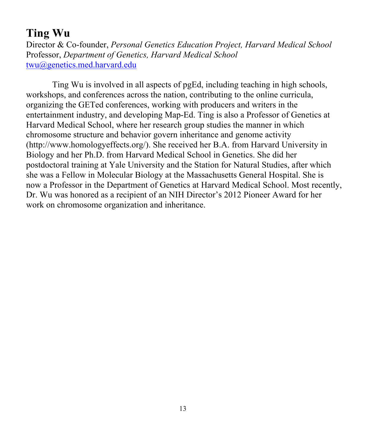## **Ting Wu**

Director & Co-founder, *Personal Genetics Education Project, Harvard Medical School* Professor, *Department of Genetics, Harvard Medical School* twu@genetics.med.harvard.edu

Ting Wu is involved in all aspects of pgEd, including teaching in high schools, workshops, and conferences across the nation, contributing to the online curricula, organizing the GETed conferences, working with producers and writers in the entertainment industry, and developing Map-Ed. Ting is also a Professor of Genetics at Harvard Medical School, where her research group studies the manner in which chromosome structure and behavior govern inheritance and genome activity (http://www.homologyeffects.org/). She received her B.A. from Harvard University in Biology and her Ph.D. from Harvard Medical School in Genetics. She did her postdoctoral training at Yale University and the Station for Natural Studies, after which she was a Fellow in Molecular Biology at the Massachusetts General Hospital. She is now a Professor in the Department of Genetics at Harvard Medical School. Most recently, Dr. Wu was honored as a recipient of an NIH Director's 2012 Pioneer Award for her work on chromosome organization and inheritance.